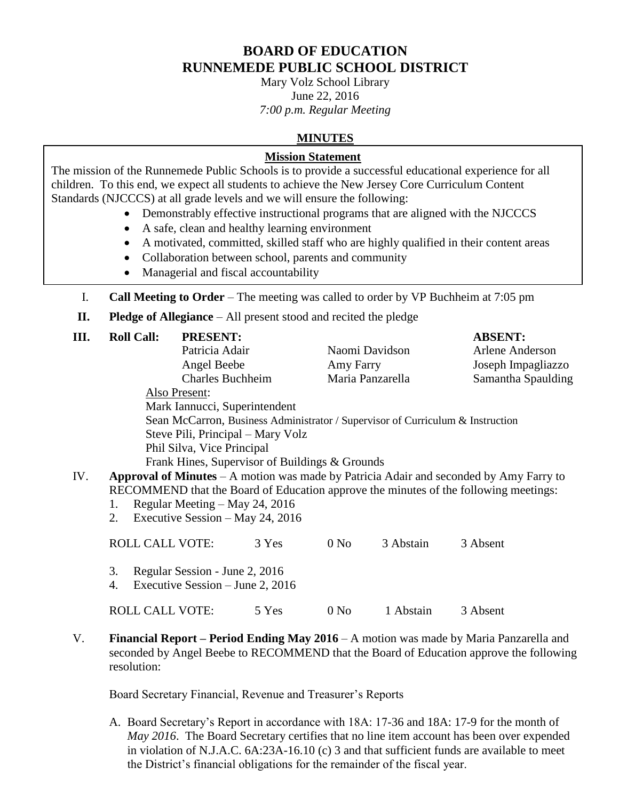# **BOARD OF EDUCATION RUNNEMEDE PUBLIC SCHOOL DISTRICT**

Mary Volz School Library June 22, 2016 *7:00 p.m. Regular Meeting*

## **MINUTES**

## **Mission Statement**

The mission of the Runnemede Public Schools is to provide a successful educational experience for all children. To this end, we expect all students to achieve the New Jersey Core Curriculum Content Standards (NJCCCS) at all grade levels and we will ensure the following:

- Demonstrably effective instructional programs that are aligned with the NJCCCS
- A safe, clean and healthy learning environment
- A motivated, committed, skilled staff who are highly qualified in their content areas
- Collaboration between school, parents and community
- Managerial and fiscal accountability
- I. **Call Meeting to Order** The meeting was called to order by VP Buchheim at 7:05 pm
- **II. Pledge of Allegiance** All present stood and recited the pledge

| Ш.  | <b>Roll Call:</b>      | <b>PRESENT:</b>                                                      |       |                  |                                                                                | <b>ABSENT:</b>                                                                         |
|-----|------------------------|----------------------------------------------------------------------|-------|------------------|--------------------------------------------------------------------------------|----------------------------------------------------------------------------------------|
|     |                        | Patricia Adair                                                       |       | Naomi Davidson   |                                                                                | Arlene Anderson                                                                        |
|     |                        | Angel Beebe                                                          |       | Amy Farry        |                                                                                | Joseph Impagliazzo                                                                     |
|     |                        | <b>Charles Buchheim</b>                                              |       | Maria Panzarella |                                                                                | Samantha Spaulding                                                                     |
|     |                        | Also Present:                                                        |       |                  |                                                                                |                                                                                        |
|     |                        | Mark Iannucci, Superintendent                                        |       |                  |                                                                                |                                                                                        |
|     |                        |                                                                      |       |                  | Sean McCarron, Business Administrator / Supervisor of Curriculum & Instruction |                                                                                        |
|     |                        | Steve Pili, Principal – Mary Volz                                    |       |                  |                                                                                |                                                                                        |
|     |                        | Phil Silva, Vice Principal                                           |       |                  |                                                                                |                                                                                        |
|     |                        | Frank Hines, Supervisor of Buildings & Grounds                       |       |                  |                                                                                |                                                                                        |
| IV. |                        |                                                                      |       |                  |                                                                                | Approval of Minutes – A motion was made by Patricia Adair and seconded by Amy Farry to |
|     |                        |                                                                      |       |                  |                                                                                | RECOMMEND that the Board of Education approve the minutes of the following meetings:   |
|     | 1.                     | Regular Meeting – May 24, 2016                                       |       |                  |                                                                                |                                                                                        |
|     | 2.                     | Executive Session – May 24, 2016                                     |       |                  |                                                                                |                                                                                        |
|     | <b>ROLL CALL VOTE:</b> |                                                                      | 3 Yes | 0 N <sub>0</sub> | 3 Abstain                                                                      | 3 Absent                                                                               |
|     | 3.<br>4.               | Regular Session - June 2, 2016<br>Executive Session $-$ June 2, 2016 |       |                  |                                                                                |                                                                                        |
|     | <b>ROLL CALL VOTE:</b> |                                                                      | 5 Yes | 0 N <sub>0</sub> | 1 Abstain                                                                      | 3 Absent                                                                               |

V. **Financial Report – Period Ending May 2016** – A motion was made by Maria Panzarella and seconded by Angel Beebe to RECOMMEND that the Board of Education approve the following resolution:

Board Secretary Financial, Revenue and Treasurer's Reports

A. Board Secretary's Report in accordance with 18A: 17-36 and 18A: 17-9 for the month of *May 2016*. The Board Secretary certifies that no line item account has been over expended in violation of N.J.A.C. 6A:23A-16.10 (c) 3 and that sufficient funds are available to meet the District's financial obligations for the remainder of the fiscal year.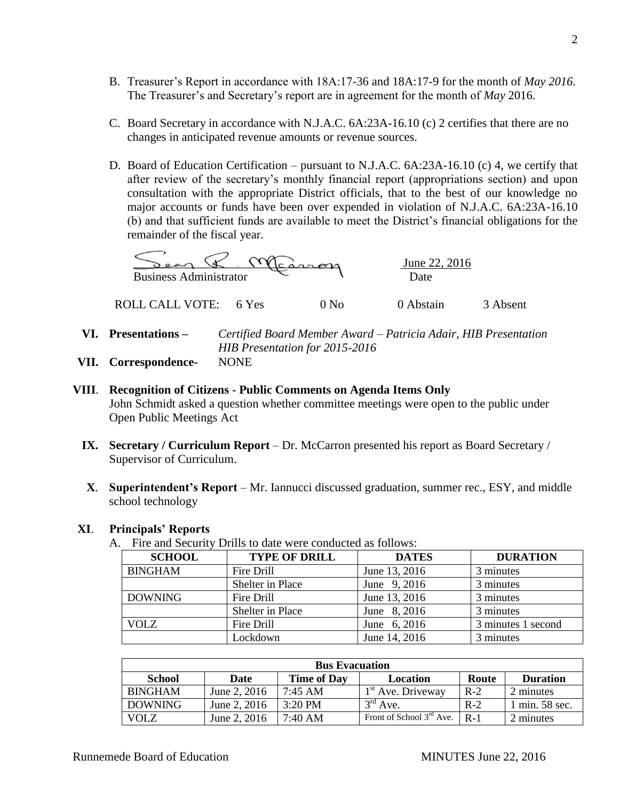- B. Treasurer's Report in accordance with 18A:17-36 and 18A:17-9 for the month of *May 2016.* The Treasurer's and Secretary's report are in agreement for the month of *May* 2016.
- C. Board Secretary in accordance with N.J.A.C. 6A:23A-16.10 (c) 2 certifies that there are no changes in anticipated revenue amounts or revenue sources.
- D. Board of Education Certification pursuant to N.J.A.C. 6A:23A-16.10 (c) 4, we certify that after review of the secretary's monthly financial report (appropriations section) and upon consultation with the appropriate District officials, that to the best of our knowledge no major accounts or funds have been over expended in violation of N.J.A.C. 6A:23A-16.10 (b) and that sufficient funds are available to meet the District's financial obligations for the remainder of the fiscal year.

| <b>Business Administrator</b> |       |      | June 22, 2016<br>Date |          |
|-------------------------------|-------|------|-----------------------|----------|
| ROLL CALL VOTE:               | 6 Yes | ) No | 0 Abstain             | 3 Absent |

- **VI. Presentations –** *Certified Board Member Award – Patricia Adair, HIB Presentation HIB Presentation for 2015-2016*
- **VII. Correspondence-** NONE
- **VIII**. **Recognition of Citizens - Public Comments on Agenda Items Only** John Schmidt asked a question whether committee meetings were open to the public under Open Public Meetings Act
	- **IX. Secretary / Curriculum Report** Dr. McCarron presented his report as Board Secretary / Supervisor of Curriculum.
	- **X**. **Superintendent's Report** Mr. Iannucci discussed graduation, summer rec., ESY, and middle school technology

## **XI**. **Principals' Reports**

A. Fire and Security Drills to date were conducted as follows:

| <b>SCHOOL</b>  | <b>TYPE OF DRILL</b> | <b>DATES</b>  | <b>DURATION</b>    |
|----------------|----------------------|---------------|--------------------|
| <b>BINGHAM</b> | Fire Drill           | June 13, 2016 | 3 minutes          |
|                | Shelter in Place     | June 9, 2016  | 3 minutes          |
| <b>DOWNING</b> | Fire Drill           | June 13, 2016 | 3 minutes          |
|                | Shelter in Place     | June 8, 2016  | 3 minutes          |
| <b>VOLZ</b>    | Fire Drill           | June 6, 2016  | 3 minutes 1 second |
|                | Lockdown             | June 14, 2016 | 3 minutes          |

| <b>Bus Evacuation</b> |              |                    |                                      |       |                 |
|-----------------------|--------------|--------------------|--------------------------------------|-------|-----------------|
| School                | Date         | <b>Time of Day</b> | Location                             | Route | <b>Duration</b> |
| <b>BINGHAM</b>        | June 2, 2016 | $7:45$ AM          | $1st$ Ave. Driveway                  | $R-2$ | 2 minutes       |
| <b>DOWNING</b>        | June 2, 2016 | $3:20$ PM          | $3rd$ Ave.                           | $R-2$ | $min. 58$ sec.  |
| VOLZ                  | June 2, 2016 | $7:40 \text{ AM}$  | Front of School 3 <sup>rd</sup> Ave. | $R-1$ | 2 minutes       |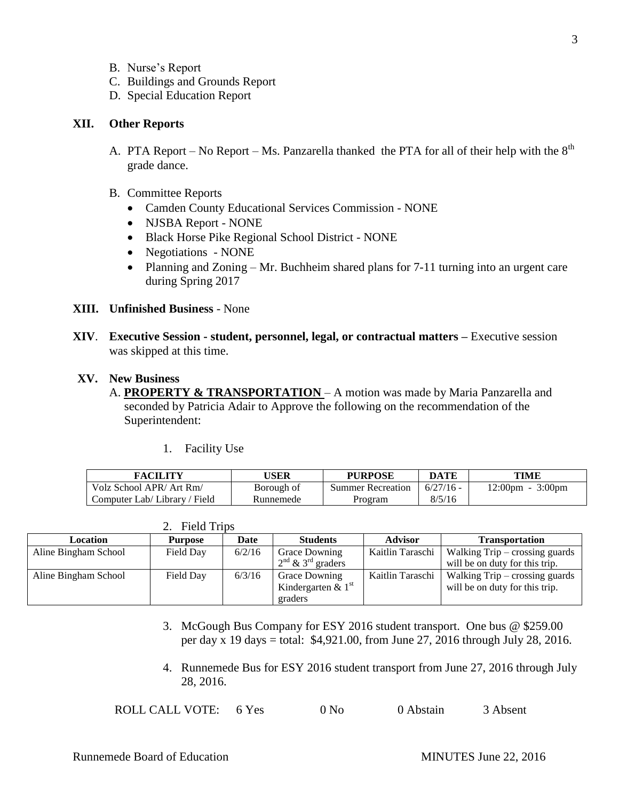- B. Nurse's Report
- C. Buildings and Grounds Report
- D. Special Education Report

## **XII. Other Reports**

- A. PTA Report No Report Ms. Panzarella thanked the PTA for all of their help with the  $8<sup>th</sup>$ grade dance.
- B. Committee Reports
	- Camden County Educational Services Commission NONE
	- NJSBA Report NONE
	- Black Horse Pike Regional School District NONE
	- Negotiations NONE
	- Planning and Zoning Mr. Buchheim shared plans for 7-11 turning into an urgent care during Spring 2017
- **XIII. Unfinished Business** None
- **XIV**. **Executive Session - student, personnel, legal, or contractual matters –** Executive session was skipped at this time.

#### **XV. New Business**

- A. **PROPERTY & TRANSPORTATION** A motion was made by Maria Panzarella and seconded by Patricia Adair to Approve the following on the recommendation of the Superintendent:
	- 1. Facility Use

2. Field Trips

| FACILITY                     | USER       | <b>PURPOSE</b>    | <b>DATE</b> | TIME                               |
|------------------------------|------------|-------------------|-------------|------------------------------------|
| Volz School APR/ Art Rm/     | Borough of | Summer Recreation | $6/27/16$ - | $12:00 \text{pm} - 3:00 \text{pm}$ |
| Computer Lab/Library / Field | Runnemede  | Program           | 8/5/16      |                                    |

| <b>Location</b>      | <b>Purpose</b> | Date   | <b>Students</b>                                         | <b>Advisor</b>   | <b>Transportation</b>                                              |
|----------------------|----------------|--------|---------------------------------------------------------|------------------|--------------------------------------------------------------------|
| Aline Bingham School | Field Day      | 6/2/16 | <b>Grace Downing</b><br>$2nd$ & 3 <sup>rd</sup> graders | Kaitlin Taraschi | Walking $Trip - crossing$ guards<br>will be on duty for this trip. |
|                      |                |        |                                                         |                  |                                                                    |
| Aline Bingham School | Field Day      | 6/3/16 | <b>Grace Downing</b>                                    | Kaitlin Taraschi | Walking $Trip - crossing$ guards                                   |
|                      |                |        | Kindergarten & $1st$                                    |                  | will be on duty for this trip.                                     |
|                      |                |        | graders                                                 |                  |                                                                    |

- 3. McGough Bus Company for ESY 2016 student transport. One bus @ \$259.00 per day x 19 days = total: \$4,921.00, from June 27, 2016 through July 28, 2016.
- 4. Runnemede Bus for ESY 2016 student transport from June 27, 2016 through July 28, 2016.

|  | ROLL CALL VOTE: | 6 Yes | 0 N <sub>0</sub> | 0 Abstain | 3 Absent |
|--|-----------------|-------|------------------|-----------|----------|
|--|-----------------|-------|------------------|-----------|----------|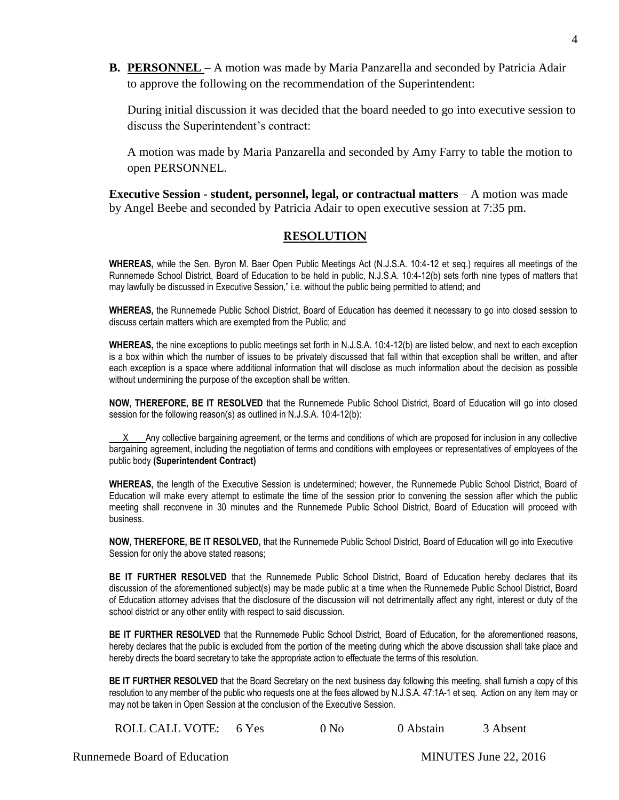**B. PERSONNEL** – A motion was made by Maria Panzarella and seconded by Patricia Adair to approve the following on the recommendation of the Superintendent:

During initial discussion it was decided that the board needed to go into executive session to discuss the Superintendent's contract:

A motion was made by Maria Panzarella and seconded by Amy Farry to table the motion to open PERSONNEL.

**Executive Session - student, personnel, legal, or contractual matters** – A motion was made by Angel Beebe and seconded by Patricia Adair to open executive session at 7:35 pm.

## **RESOLUTION**

**WHEREAS,** while the Sen. Byron M. Baer Open Public Meetings Act (N.J.S.A. 10:4-12 et seq.) requires all meetings of the Runnemede School District, Board of Education to be held in public, N.J.S.A. 10:4-12(b) sets forth nine types of matters that may lawfully be discussed in Executive Session," i.e. without the public being permitted to attend; and

**WHEREAS,** the Runnemede Public School District, Board of Education has deemed it necessary to go into closed session to discuss certain matters which are exempted from the Public; and

**WHEREAS,** the nine exceptions to public meetings set forth in N.J.S.A. 10:4-12(b) are listed below, and next to each exception is a box within which the number of issues to be privately discussed that fall within that exception shall be written, and after each exception is a space where additional information that will disclose as much information about the decision as possible without undermining the purpose of the exception shall be written.

**NOW, THEREFORE, BE IT RESOLVED** that the Runnemede Public School District, Board of Education will go into closed session for the following reason(s) as outlined in N.J.S.A. 10:4-12(b):

 X Any collective bargaining agreement, or the terms and conditions of which are proposed for inclusion in any collective bargaining agreement, including the negotiation of terms and conditions with employees or representatives of employees of the public body **(Superintendent Contract)**

**WHEREAS,** the length of the Executive Session is undetermined; however, the Runnemede Public School District, Board of Education will make every attempt to estimate the time of the session prior to convening the session after which the public meeting shall reconvene in 30 minutes and the Runnemede Public School District, Board of Education will proceed with business.

**NOW, THEREFORE, BE IT RESOLVED,** that the Runnemede Public School District, Board of Education will go into Executive Session for only the above stated reasons;

**BE IT FURTHER RESOLVED** that the Runnemede Public School District, Board of Education hereby declares that its discussion of the aforementioned subject(s) may be made public at a time when the Runnemede Public School District, Board of Education attorney advises that the disclosure of the discussion will not detrimentally affect any right, interest or duty of the school district or any other entity with respect to said discussion.

**BE IT FURTHER RESOLVED** that the Runnemede Public School District, Board of Education, for the aforementioned reasons, hereby declares that the public is excluded from the portion of the meeting during which the above discussion shall take place and hereby directs the board secretary to take the appropriate action to effectuate the terms of this resolution.

**BE IT FURTHER RESOLVED** that the Board Secretary on the next business day following this meeting, shall furnish a copy of this resolution to any member of the public who requests one at the fees allowed by N.J.S.A. 47:1A-1 et seq. Action on any item may or may not be taken in Open Session at the conclusion of the Executive Session.

ROLL CALL VOTE: 6 Yes 0 No 0 Abstain 3 Absent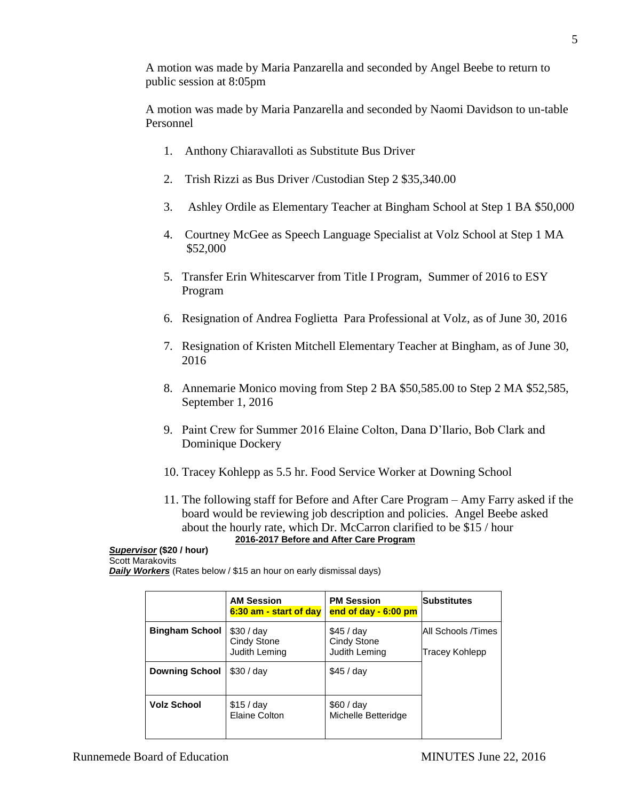A motion was made by Maria Panzarella and seconded by Angel Beebe to return to public session at 8:05pm

A motion was made by Maria Panzarella and seconded by Naomi Davidson to un-table Personnel

- 1. Anthony Chiaravalloti as Substitute Bus Driver
- 2. Trish Rizzi as Bus Driver /Custodian Step 2 \$35,340.00
- 3. Ashley Ordile as Elementary Teacher at Bingham School at Step 1 BA \$50,000
- 4. Courtney McGee as Speech Language Specialist at Volz School at Step 1 MA \$52,000
- 5. Transfer Erin Whitescarver from Title I Program, Summer of 2016 to ESY Program
- 6. Resignation of Andrea Foglietta Para Professional at Volz, as of June 30, 2016
- 7. Resignation of Kristen Mitchell Elementary Teacher at Bingham, as of June 30, 2016
- 8. Annemarie Monico moving from Step 2 BA \$50,585.00 to Step 2 MA \$52,585, September 1, 2016
- 9. Paint Crew for Summer 2016 Elaine Colton, Dana D'Ilario, Bob Clark and Dominique Dockery
- 10. Tracey Kohlepp as 5.5 hr. Food Service Worker at Downing School
- 11. The following staff for Before and After Care Program Amy Farry asked if the board would be reviewing job description and policies. Angel Beebe asked about the hourly rate, which Dr. McCarron clarified to be \$15 / hour **2016-2017 Before and After Care Program**

## *Supervisor* **(\$20 / hour)** Scott Marakovits

**Daily Workers** (Rates below / \$15 an hour on early dismissal days)

|                       | <b>AM Session</b><br>6:30 am - start of day     | <b>PM Session</b><br>end of day $-6:00$ pm        | <b>Substitutes</b>                   |
|-----------------------|-------------------------------------------------|---------------------------------------------------|--------------------------------------|
| <b>Bingham School</b> | \$30/day<br><b>Cindy Stone</b><br>Judith Leming | \$45 / day<br><b>Cindy Stone</b><br>Judith Leming | All Schools /Times<br>Tracey Kohlepp |
| <b>Downing School</b> | \$30 / day                                      | \$45 / day                                        |                                      |
| <b>Volz School</b>    | \$15/day<br>Elaine Colton                       | \$60/day<br>Michelle Betteridge                   |                                      |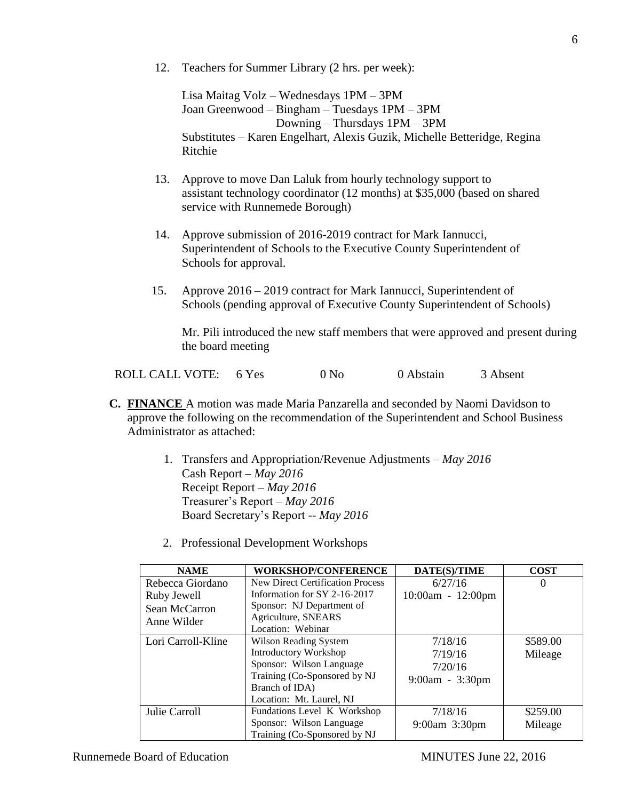12. Teachers for Summer Library (2 hrs. per week):

Lisa Maitag Volz – Wednesdays 1PM – 3PM Joan Greenwood – Bingham – Tuesdays 1PM – 3PM Downing – Thursdays 1PM – 3PM Substitutes – Karen Engelhart, Alexis Guzik, Michelle Betteridge, Regina Ritchie

- 13. Approve to move Dan Laluk from hourly technology support to assistant technology coordinator (12 months) at \$35,000 (based on shared service with Runnemede Borough)
- 14. Approve submission of 2016-2019 contract for Mark Iannucci, Superintendent of Schools to the Executive County Superintendent of Schools for approval.
- 15. Approve 2016 2019 contract for Mark Iannucci, Superintendent of Schools (pending approval of Executive County Superintendent of Schools)

Mr. Pili introduced the new staff members that were approved and present during the board meeting

|  | ROLL CALL VOTE: 6 Yes |  | 0 N <sub>0</sub> | 0 Abstain | 3 Absent |
|--|-----------------------|--|------------------|-----------|----------|
|--|-----------------------|--|------------------|-----------|----------|

- **C. FINANCE** A motion was made Maria Panzarella and seconded by Naomi Davidson to approve the following on the recommendation of the Superintendent and School Business Administrator as attached:
	- 1. Transfers and Appropriation/Revenue Adjustments *May 2016* Cash Report – *May 2016* Receipt Report – *May 2016* Treasurer's Report – *May 2016* Board Secretary's Report -- *May 2016*
	- 2. Professional Development Workshops

| <b>NAME</b>        | <b>WORKSHOP/CONFERENCE</b>       | DATE(S)/TIME        | <b>COST</b> |
|--------------------|----------------------------------|---------------------|-------------|
| Rebecca Giordano   | New Direct Certification Process | 6/27/16             | $\theta$    |
| Ruby Jewell        | Information for SY 2-16-2017     | $10:00am - 12:00pm$ |             |
| Sean McCarron      | Sponsor: NJ Department of        |                     |             |
| Anne Wilder        | Agriculture, SNEARS              |                     |             |
|                    | Location: Webinar                |                     |             |
| Lori Carroll-Kline | Wilson Reading System            | 7/18/16             | \$589.00    |
|                    | <b>Introductory Workshop</b>     | 7/19/16             | Mileage     |
|                    | Sponsor: Wilson Language         | 7/20/16             |             |
|                    | Training (Co-Sponsored by NJ     | $9:00am - 3:30pm$   |             |
|                    | Branch of IDA)                   |                     |             |
|                    | Location: Mt. Laurel, NJ         |                     |             |
| Julie Carroll      | Fundations Level K Workshop      | 7/18/16             | \$259.00    |
|                    | Sponsor: Wilson Language         | 9:00am 3:30pm       | Mileage     |
|                    | Training (Co-Sponsored by NJ     |                     |             |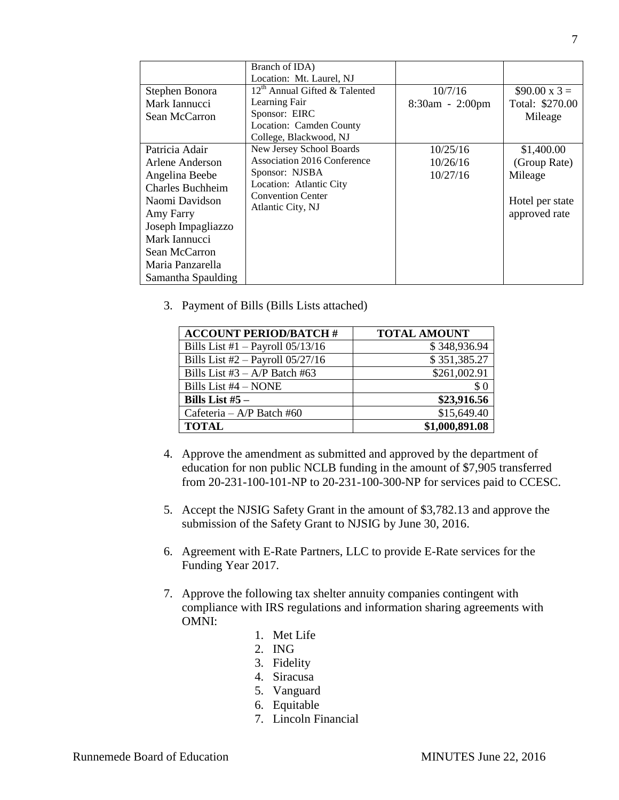|                                                                                                                                                                                                                 | Branch of IDA)<br>Location: Mt. Laurel, NJ                                                                                                            |                                  |                                                                           |
|-----------------------------------------------------------------------------------------------------------------------------------------------------------------------------------------------------------------|-------------------------------------------------------------------------------------------------------------------------------------------------------|----------------------------------|---------------------------------------------------------------------------|
| Stephen Bonora<br>Mark Iannucci<br>Sean McCarron                                                                                                                                                                | 12 <sup>th</sup> Annual Gifted & Talented<br>Learning Fair<br>Sponsor: EIRC<br>Location: Camden County<br>College, Blackwood, NJ                      | 10/7/16<br>8:30am - 2:00pm       | $$90.00 \times 3 =$<br>Total: \$270.00<br>Mileage                         |
| Patricia Adair<br>Arlene Anderson<br>Angelina Beebe<br><b>Charles Buchheim</b><br>Naomi Davidson<br>Amy Farry<br>Joseph Impagliazzo<br>Mark Iannucci<br>Sean McCarron<br>Maria Panzarella<br>Samantha Spaulding | New Jersey School Boards<br>Association 2016 Conference<br>Sponsor: NJSBA<br>Location: Atlantic City<br><b>Convention Center</b><br>Atlantic City, NJ | 10/25/16<br>10/26/16<br>10/27/16 | \$1,400.00<br>(Group Rate)<br>Mileage<br>Hotel per state<br>approved rate |

3. Payment of Bills (Bills Lists attached)

| <b>ACCOUNT PERIOD/BATCH #</b>        | <b>TOTAL AMOUNT</b> |
|--------------------------------------|---------------------|
| Bills List #1 $-$ Payroll 05/13/16   | \$348,936.94        |
| Bills List $#2$ – Payroll $05/27/16$ | \$351,385.27        |
| Bills List #3 $- A/P$ Batch #63      | \$261,002.91        |
| Bills List #4 - NONE                 | $\$ 0$              |
| Bills List $#5 -$                    | \$23,916.56         |
| Cafeteria – $A/P$ Batch #60          | \$15,649.40         |
| <b>TOTAL</b>                         | \$1,000,891.08      |

- 4. Approve the amendment as submitted and approved by the department of education for non public NCLB funding in the amount of \$7,905 transferred from 20-231-100-101-NP to 20-231-100-300-NP for services paid to CCESC.
- 5. Accept the NJSIG Safety Grant in the amount of \$3,782.13 and approve the submission of the Safety Grant to NJSIG by June 30, 2016.
- 6. Agreement with E-Rate Partners, LLC to provide E-Rate services for the Funding Year 2017.
- 7. Approve the following tax shelter annuity companies contingent with compliance with IRS regulations and information sharing agreements with OMNI:
	- 1. Met Life
	- 2. ING
	- 3. Fidelity
	- 4. Siracusa
	- 5. Vanguard
	- 6. Equitable
	- 7. Lincoln Financial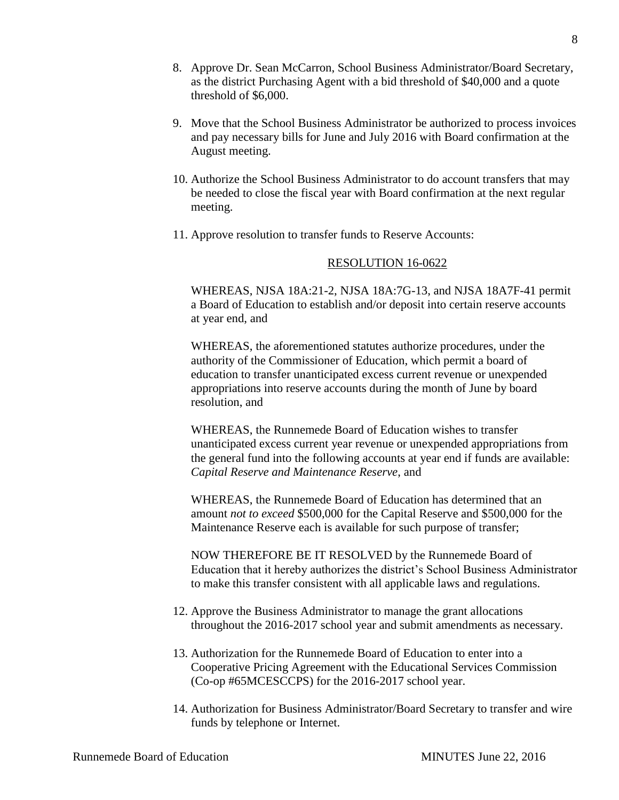- 8. Approve Dr. Sean McCarron, School Business Administrator/Board Secretary, as the district Purchasing Agent with a bid threshold of \$40,000 and a quote threshold of \$6,000.
- 9. Move that the School Business Administrator be authorized to process invoices and pay necessary bills for June and July 2016 with Board confirmation at the August meeting.
- 10. Authorize the School Business Administrator to do account transfers that may be needed to close the fiscal year with Board confirmation at the next regular meeting.
- 11. Approve resolution to transfer funds to Reserve Accounts:

## RESOLUTION 16-0622

WHEREAS, NJSA 18A:21-2, NJSA 18A:7G-13, and NJSA 18A7F-41 permit a Board of Education to establish and/or deposit into certain reserve accounts at year end, and

WHEREAS, the aforementioned statutes authorize procedures, under the authority of the Commissioner of Education, which permit a board of education to transfer unanticipated excess current revenue or unexpended appropriations into reserve accounts during the month of June by board resolution, and

WHEREAS, the Runnemede Board of Education wishes to transfer unanticipated excess current year revenue or unexpended appropriations from the general fund into the following accounts at year end if funds are available: *Capital Reserve and Maintenance Reserve*, and

WHEREAS, the Runnemede Board of Education has determined that an amount *not to exceed* \$500,000 for the Capital Reserve and \$500,000 for the Maintenance Reserve each is available for such purpose of transfer;

NOW THEREFORE BE IT RESOLVED by the Runnemede Board of Education that it hereby authorizes the district's School Business Administrator to make this transfer consistent with all applicable laws and regulations.

- 12. Approve the Business Administrator to manage the grant allocations throughout the 2016-2017 school year and submit amendments as necessary.
- 13. Authorization for the Runnemede Board of Education to enter into a Cooperative Pricing Agreement with the Educational Services Commission (Co-op #65MCESCCPS) for the 2016-2017 school year.
- 14. Authorization for Business Administrator/Board Secretary to transfer and wire funds by telephone or Internet.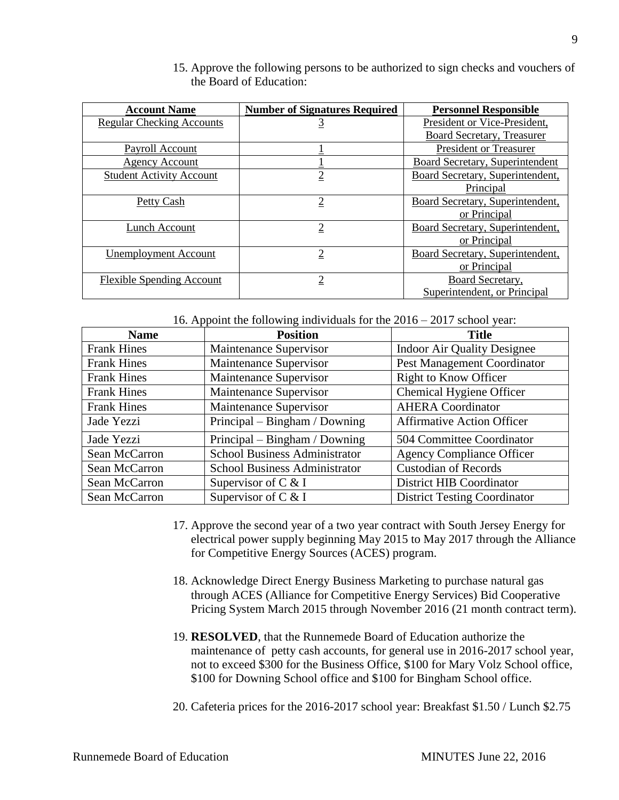| <b>Account Name</b>              | <b>Number of Signatures Required</b> | <b>Personnel Responsible</b>     |
|----------------------------------|--------------------------------------|----------------------------------|
| <b>Regular Checking Accounts</b> | <u>3</u>                             | President or Vice-President,     |
|                                  |                                      | Board Secretary, Treasurer       |
| Payroll Account                  |                                      | <b>President or Treasurer</b>    |
| <b>Agency Account</b>            |                                      | Board Secretary, Superintendent  |
| <b>Student Activity Account</b>  | $\overline{2}$                       | Board Secretary, Superintendent, |
|                                  |                                      | Principal                        |
| Petty Cash                       | $\overline{2}$                       | Board Secretary, Superintendent, |
|                                  |                                      | or Principal                     |
| Lunch Account                    | $\overline{2}$                       | Board Secretary, Superintendent, |
|                                  |                                      | or Principal                     |
| Unemployment Account             | $\overline{2}$                       | Board Secretary, Superintendent, |
|                                  |                                      | or Principal                     |
| <b>Flexible Spending Account</b> | $\overline{2}$                       | Board Secretary,                 |
|                                  |                                      | Superintendent, or Principal     |

15. Approve the following persons to be authorized to sign checks and vouchers of the Board of Education:

16. Appoint the following individuals for the 2016 – 2017 school year:

| <b>Name</b>        | <b>Position</b>                      | <b>Title</b>                        |
|--------------------|--------------------------------------|-------------------------------------|
| <b>Frank Hines</b> | Maintenance Supervisor               | <b>Indoor Air Quality Designee</b>  |
| <b>Frank Hines</b> | Maintenance Supervisor               | Pest Management Coordinator         |
| <b>Frank Hines</b> | Maintenance Supervisor               | Right to Know Officer               |
| <b>Frank Hines</b> | Maintenance Supervisor               | Chemical Hygiene Officer            |
| <b>Frank Hines</b> | Maintenance Supervisor               | <b>AHERA</b> Coordinator            |
| Jade Yezzi         | Principal – Bingham / Downing        | <b>Affirmative Action Officer</b>   |
| Jade Yezzi         | Principal – Bingham / Downing        | 504 Committee Coordinator           |
| Sean McCarron      | <b>School Business Administrator</b> | <b>Agency Compliance Officer</b>    |
| Sean McCarron      | <b>School Business Administrator</b> | <b>Custodian of Records</b>         |
| Sean McCarron      | Supervisor of C & I                  | District HIB Coordinator            |
| Sean McCarron      | Supervisor of $C \& I$               | <b>District Testing Coordinator</b> |

- 17. Approve the second year of a two year contract with South Jersey Energy for electrical power supply beginning May 2015 to May 2017 through the Alliance for Competitive Energy Sources (ACES) program.
- 18. Acknowledge Direct Energy Business Marketing to purchase natural gas through ACES (Alliance for Competitive Energy Services) Bid Cooperative Pricing System March 2015 through November 2016 (21 month contract term).
- 19. **RESOLVED**, that the Runnemede Board of Education authorize the maintenance of petty cash accounts, for general use in 2016-2017 school year, not to exceed \$300 for the Business Office, \$100 for Mary Volz School office, \$100 for Downing School office and \$100 for Bingham School office.
- 20. Cafeteria prices for the 2016-2017 school year: Breakfast \$1.50 / Lunch \$2.75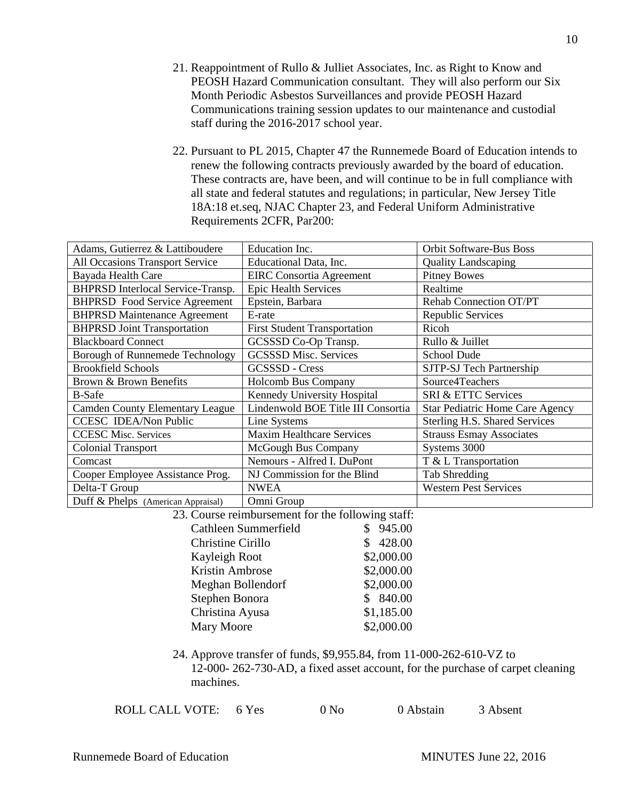- 21. Reappointment of Rullo & Julliet Associates, Inc. as Right to Know and PEOSH Hazard Communication consultant. They will also perform our Six Month Periodic Asbestos Surveillances and provide PEOSH Hazard Communications training session updates to our maintenance and custodial staff during the 2016-2017 school year.
- 22. Pursuant to PL 2015, Chapter 47 the Runnemede Board of Education intends to renew the following contracts previously awarded by the board of education. These contracts are, have been, and will continue to be in full compliance with all state and federal statutes and regulations; in particular, New Jersey Title 18A:18 et.seq, NJAC Chapter 23, and Federal Uniform Administrative Requirements 2CFR, Par200:

| Adams, Gutierrez & Lattiboudere                                                       | Education Inc.                                   | Orbit Software-Bus Boss         |  |  |
|---------------------------------------------------------------------------------------|--------------------------------------------------|---------------------------------|--|--|
| All Occasions Transport Service                                                       | Educational Data, Inc.                           | <b>Quality Landscaping</b>      |  |  |
| Bayada Health Care                                                                    | <b>EIRC</b> Consortia Agreement                  | <b>Pitney Bowes</b>             |  |  |
| BHPRSD Interlocal Service-Transp.                                                     | <b>Epic Health Services</b>                      | Realtime                        |  |  |
| <b>BHPRSD</b> Food Service Agreement                                                  | Epstein, Barbara                                 | Rehab Connection OT/PT          |  |  |
| <b>BHPRSD Maintenance Agreement</b>                                                   | E-rate                                           | Republic Services               |  |  |
| <b>BHPRSD Joint Transportation</b>                                                    | <b>First Student Transportation</b>              | Ricoh                           |  |  |
| <b>Blackboard Connect</b>                                                             | GCSSSD Co-Op Transp.                             | Rullo & Juillet                 |  |  |
| Borough of Runnemede Technology                                                       | <b>GCSSSD Misc. Services</b>                     | School Dude                     |  |  |
| <b>Brookfield Schools</b>                                                             | GCSSSD - Cress                                   | SJTP-SJ Tech Partnership        |  |  |
| Brown & Brown Benefits                                                                | <b>Holcomb Bus Company</b>                       | Source4Teachers                 |  |  |
| <b>B-Safe</b>                                                                         | Kennedy University Hospital                      | SRI & ETTC Services             |  |  |
| <b>Camden County Elementary League</b>                                                | Lindenwold BOE Title III Consortia               | Star Pediatric Home Care Agency |  |  |
| <b>CCESC IDEA/Non Public</b>                                                          | Line Systems                                     | Sterling H.S. Shared Services   |  |  |
| <b>CCESC Misc. Services</b>                                                           | <b>Maxim Healthcare Services</b>                 | <b>Strauss Esmay Associates</b> |  |  |
| <b>Colonial Transport</b>                                                             | McGough Bus Company                              | Systems 3000                    |  |  |
| Comcast                                                                               | Nemours - Alfred I. DuPont                       | T & L Transportation            |  |  |
| Cooper Employee Assistance Prog.                                                      | NJ Commission for the Blind                      | <b>Tab Shredding</b>            |  |  |
| Delta-T Group                                                                         | <b>NWEA</b>                                      | <b>Western Pest Services</b>    |  |  |
| Duff & Phelps (American Appraisal)                                                    | Omni Group                                       |                                 |  |  |
| 23. Course reimbursement for the following staff:                                     |                                                  |                                 |  |  |
|                                                                                       | Cathleen Summerfield<br>945.00<br>$\mathbb{S}^-$ |                                 |  |  |
| Christine Cirillo                                                                     | 428.00<br>\$                                     |                                 |  |  |
| Kayleigh Root                                                                         | \$2,000.00                                       |                                 |  |  |
| Kristin Ambrose                                                                       | \$2,000.00                                       |                                 |  |  |
| Meghan Bollendorf                                                                     | \$2,000.00                                       |                                 |  |  |
| Stephen Bonora                                                                        | \$840.00                                         |                                 |  |  |
| Christina Ayusa                                                                       | \$1,185.00                                       |                                 |  |  |
| Mary Moore                                                                            | \$2,000.00                                       |                                 |  |  |
|                                                                                       |                                                  |                                 |  |  |
| 24. Approve transfer of funds, \$9,955.84, from 11-000-262-610-VZ to                  |                                                  |                                 |  |  |
| 12,000, 262,720, $AD$ of $\cos A$ against execute for the grup age of courst election |                                                  |                                 |  |  |

12-000- 262-730-AD, a fixed asset account, for the purchase of carpet cleaning machines.

| ROLL CALL VOTE: 6 Yes<br>0 N <sub>0</sub> | 0 Abstain | 3 Absent |
|-------------------------------------------|-----------|----------|
|-------------------------------------------|-----------|----------|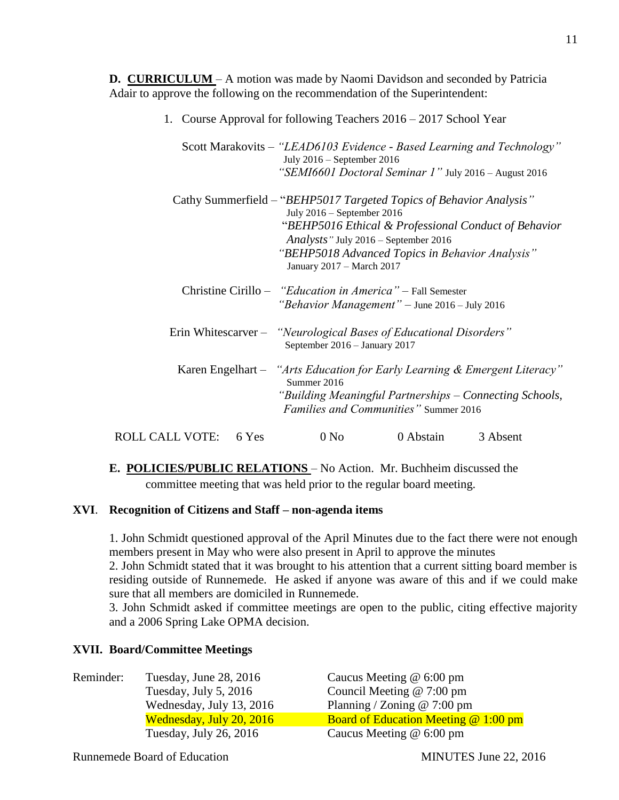**D. CURRICULUM** – A motion was made by Naomi Davidson and seconded by Patricia Adair to approve the following on the recommendation of the Superintendent:

- 1. Course Approval for following Teachers 2016 2017 School Year Scott Marakovits – *"LEAD6103 Evidence - Based Learning and Technology"* July 2016 – September 2016 *"SEMI6601 Doctoral Seminar 1"* July 2016 – August 2016 Cathy Summerfield – "*BEHP5017 Targeted Topics of Behavior Analysis"* July 2016 – September 2016 "*BEHP5016 Ethical & Professional Conduct of Behavior Analysts"* July 2016 – September 2016 *"BEHP5018 Advanced Topics in Behavior Analysis"* January 2017 – March 2017 Christine Cirillo – *"Education in America"* – Fall Semester *"Behavior Management"* – June 2016 – July 2016 Erin Whitescarver – *"Neurological Bases of Educational Disorders"* September 2016 – January 2017 Karen Engelhart – *"Arts Education for Early Learning & Emergent Literacy"* Summer 2016 *"Building Meaningful Partnerships – Connecting Schools, Families and Communities"* Summer 2016
- ROLL CALL VOTE: 6 Yes 0 No 0 Abstain 3 Absent
- **E. POLICIES/PUBLIC RELATIONS**  No Action. Mr. Buchheim discussed the committee meeting that was held prior to the regular board meeting.

#### **XVI**. **Recognition of Citizens and Staff – non-agenda items**

1. John Schmidt questioned approval of the April Minutes due to the fact there were not enough members present in May who were also present in April to approve the minutes

2. John Schmidt stated that it was brought to his attention that a current sitting board member is residing outside of Runnemede. He asked if anyone was aware of this and if we could make sure that all members are domiciled in Runnemede.

3. John Schmidt asked if committee meetings are open to the public, citing effective majority and a 2006 Spring Lake OPMA decision.

## **XVII. Board/Committee Meetings**

| Reminder: | Tuesday, June 28, 2016   | Caucus Meeting $@$ 6:00 pm            |
|-----------|--------------------------|---------------------------------------|
|           | Tuesday, July 5, 2016    | Council Meeting $@ 7:00$ pm           |
|           | Wednesday, July 13, 2016 | Planning / Zoning $@ 7:00$ pm         |
|           | Wednesday, July 20, 2016 | Board of Education Meeting $@1:00$ pm |
|           | Tuesday, July 26, 2016   | Caucus Meeting $@$ 6:00 pm            |